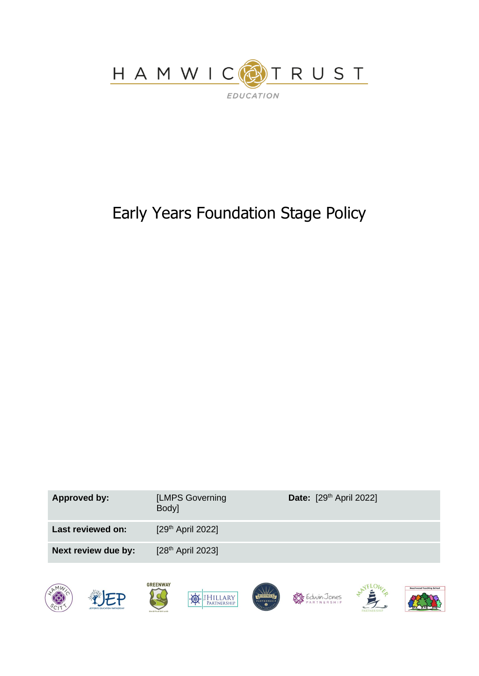

# Early Years Foundation Stage Policy



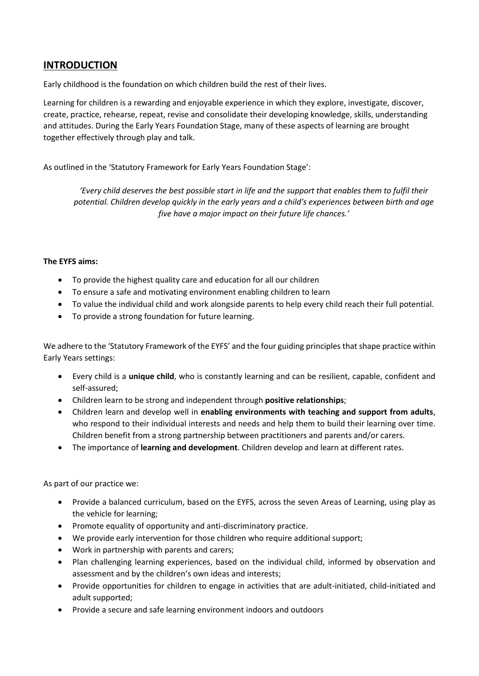### **INTRODUCTION**

Early childhood is the foundation on which children build the rest of their lives.

Learning for children is a rewarding and enjoyable experience in which they explore, investigate, discover, create, practice, rehearse, repeat, revise and consolidate their developing knowledge, skills, understanding and attitudes. During the Early Years Foundation Stage, many of these aspects of learning are brought together effectively through play and talk.

As outlined in the 'Statutory Framework for Early Years Foundation Stage':

*'Every child deserves the best possible start in life and the support that enables them to fulfil their potential. Children develop quickly in the early years and a child's experiences between birth and age five have a major impact on their future life chances.'*

#### **The EYFS aims:**

- To provide the highest quality care and education for all our children
- To ensure a safe and motivating environment enabling children to learn
- To value the individual child and work alongside parents to help every child reach their full potential.
- To provide a strong foundation for future learning.

We adhere to the 'Statutory Framework of the EYFS' and the four guiding principles that shape practice within Early Years settings:

- Every child is a **unique child**, who is constantly learning and can be resilient, capable, confident and self-assured;
- Children learn to be strong and independent through **positive relationships**;
- Children learn and develop well in **enabling environments with teaching and support from adults**, who respond to their individual interests and needs and help them to build their learning over time. Children benefit from a strong partnership between practitioners and parents and/or carers.
- The importance of **learning and development**. Children develop and learn at different rates.

As part of our practice we:

- Provide a balanced curriculum, based on the EYFS, across the seven Areas of Learning, using play as the vehicle for learning;
- Promote equality of opportunity and anti-discriminatory practice.
- We provide early intervention for those children who require additional support;
- Work in partnership with parents and carers;
- Plan challenging learning experiences, based on the individual child, informed by observation and assessment and by the children's own ideas and interests;
- Provide opportunities for children to engage in activities that are adult-initiated, child-initiated and adult supported;
- Provide a secure and safe learning environment indoors and outdoors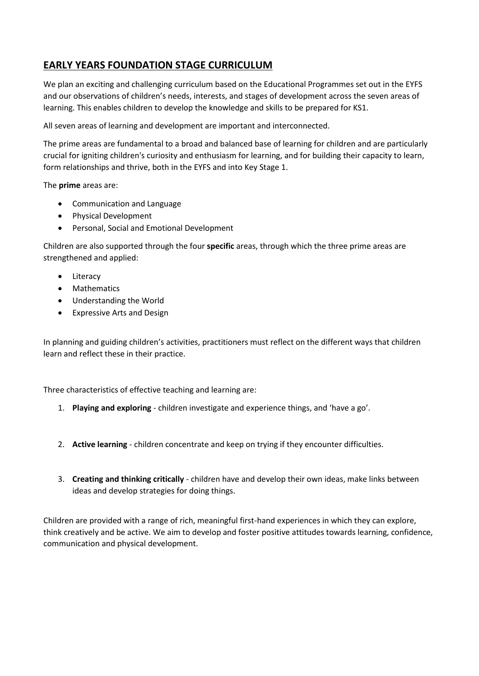### **EARLY YEARS FOUNDATION STAGE CURRICULUM**

We plan an exciting and challenging curriculum based on the Educational Programmes set out in the EYFS and our observations of children's needs, interests, and stages of development across the seven areas of learning. This enables children to develop the knowledge and skills to be prepared for KS1.

All seven areas of learning and development are important and interconnected.

The prime areas are fundamental to a broad and balanced base of learning for children and are particularly crucial for igniting children's curiosity and enthusiasm for learning, and for building their capacity to learn, form relationships and thrive, both in the EYFS and into Key Stage 1.

The **prime** areas are:

- Communication and Language
- Physical Development
- Personal, Social and Emotional Development

Children are also supported through the four **specific** areas, through which the three prime areas are strengthened and applied:

- Literacy
- Mathematics
- Understanding the World
- Expressive Arts and Design

In planning and guiding children's activities, practitioners must reflect on the different ways that children learn and reflect these in their practice.

Three characteristics of effective teaching and learning are:

- 1. **Playing and exploring** children investigate and experience things, and 'have a go'.
- 2. **Active learning** children concentrate and keep on trying if they encounter difficulties.
- 3. **Creating and thinking critically** children have and develop their own ideas, make links between ideas and develop strategies for doing things.

Children are provided with a range of rich, meaningful first-hand experiences in which they can explore, think creatively and be active. We aim to develop and foster positive attitudes towards learning, confidence, communication and physical development.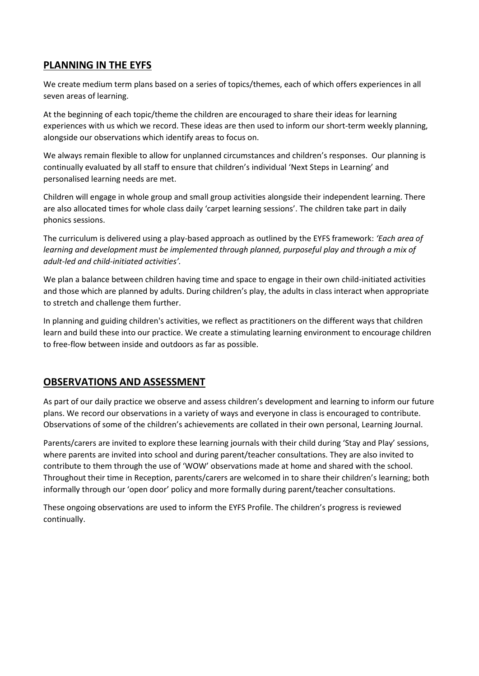### **PLANNING IN THE EYFS**

We create medium term plans based on a series of topics/themes, each of which offers experiences in all seven areas of learning.

At the beginning of each topic/theme the children are encouraged to share their ideas for learning experiences with us which we record. These ideas are then used to inform our short-term weekly planning, alongside our observations which identify areas to focus on.

We always remain flexible to allow for unplanned circumstances and children's responses. Our planning is continually evaluated by all staff to ensure that children's individual 'Next Steps in Learning' and personalised learning needs are met.

Children will engage in whole group and small group activities alongside their independent learning. There are also allocated times for whole class daily 'carpet learning sessions'. The children take part in daily phonics sessions.

The curriculum is delivered using a play-based approach as outlined by the EYFS framework: *'Each area of learning and development must be implemented through planned, purposeful play and through a mix of adult-led and child-initiated activities'.*

We plan a balance between children having time and space to engage in their own child-initiated activities and those which are planned by adults. During children's play, the adults in class interact when appropriate to stretch and challenge them further.

In planning and guiding children's activities, we reflect as practitioners on the different ways that children learn and build these into our practice. We create a stimulating learning environment to encourage children to free-flow between inside and outdoors as far as possible.

### **OBSERVATIONS AND ASSESSMENT**

As part of our daily practice we observe and assess children's development and learning to inform our future plans. We record our observations in a variety of ways and everyone in class is encouraged to contribute. Observations of some of the children's achievements are collated in their own personal, Learning Journal.

Parents/carers are invited to explore these learning journals with their child during 'Stay and Play' sessions, where parents are invited into school and during parent/teacher consultations. They are also invited to contribute to them through the use of 'WOW' observations made at home and shared with the school. Throughout their time in Reception, parents/carers are welcomed in to share their children's learning; both informally through our 'open door' policy and more formally during parent/teacher consultations.

These ongoing observations are used to inform the EYFS Profile. The children's progress is reviewed continually.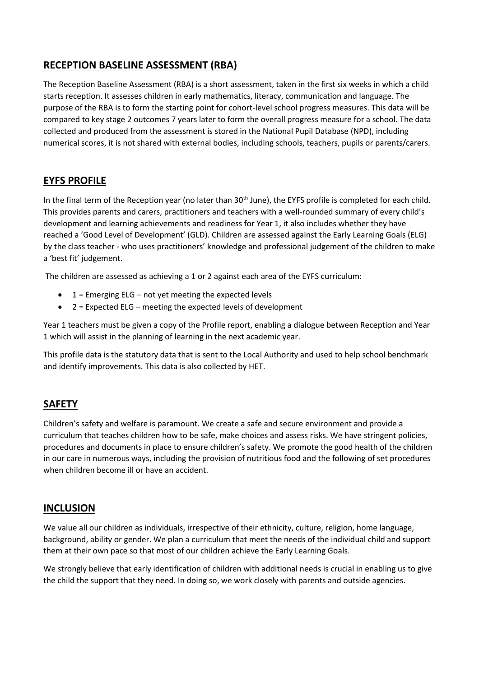### **RECEPTION BASELINE ASSESSMENT (RBA)**

The Reception Baseline Assessment (RBA) is a short assessment, taken in the first six weeks in which a child starts reception. It assesses children in early mathematics, literacy, communication and language. The purpose of the RBA is to form the starting point for cohort-level school progress measures. This data will be compared to key stage 2 outcomes 7 years later to form the overall progress measure for a school. The data collected and produced from the assessment is stored in the National Pupil Database (NPD), including numerical scores, it is not shared with external bodies, including schools, teachers, pupils or parents/carers.

### **EYFS PROFILE**

In the final term of the Reception year (no later than 30<sup>th</sup> June), the EYFS profile is completed for each child. This provides parents and carers, practitioners and teachers with a well-rounded summary of every child's development and learning achievements and readiness for Year 1, it also includes whether they have reached a 'Good Level of Development' (GLD). Children are assessed against the Early Learning Goals (ELG) by the class teacher - who uses practitioners' knowledge and professional judgement of the children to make a 'best fit' judgement.

The children are assessed as achieving a 1 or 2 against each area of the EYFS curriculum:

- $\bullet$  1 = Emerging ELG not yet meeting the expected levels
- 2 = Expected ELG meeting the expected levels of development

Year 1 teachers must be given a copy of the Profile report, enabling a dialogue between Reception and Year 1 which will assist in the planning of learning in the next academic year.

This profile data is the statutory data that is sent to the Local Authority and used to help school benchmark and identify improvements. This data is also collected by HET.

## **SAFETY**

Children's safety and welfare is paramount. We create a safe and secure environment and provide a curriculum that teaches children how to be safe, make choices and assess risks. We have stringent policies, procedures and documents in place to ensure children's safety. We promote the good health of the children in our care in numerous ways, including the provision of nutritious food and the following of set procedures when children become ill or have an accident.

### **INCLUSION**

We value all our children as individuals, irrespective of their ethnicity, culture, religion, home language, background, ability or gender. We plan a curriculum that meet the needs of the individual child and support them at their own pace so that most of our children achieve the Early Learning Goals.

We strongly believe that early identification of children with additional needs is crucial in enabling us to give the child the support that they need. In doing so, we work closely with parents and outside agencies.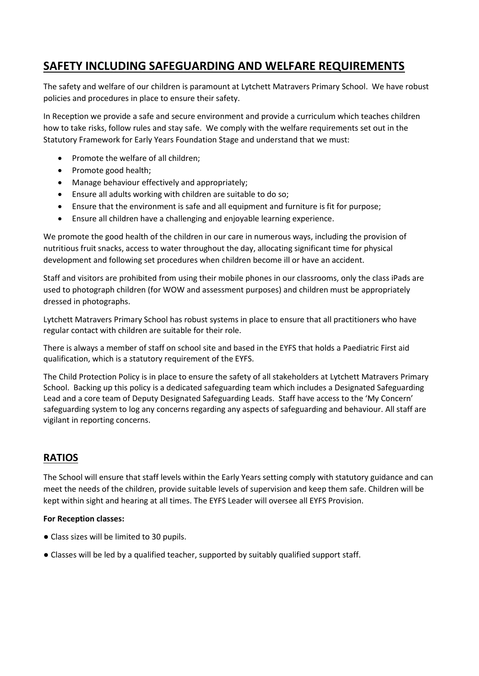# **SAFETY INCLUDING SAFEGUARDING AND WELFARE REQUIREMENTS**

The safety and welfare of our children is paramount at Lytchett Matravers Primary School. We have robust policies and procedures in place to ensure their safety.

In Reception we provide a safe and secure environment and provide a curriculum which teaches children how to take risks, follow rules and stay safe. We comply with the welfare requirements set out in the Statutory Framework for Early Years Foundation Stage and understand that we must:

- Promote the welfare of all children;
- Promote good health;
- Manage behaviour effectively and appropriately;
- Ensure all adults working with children are suitable to do so;
- Ensure that the environment is safe and all equipment and furniture is fit for purpose;
- Ensure all children have a challenging and enjoyable learning experience.

We promote the good health of the children in our care in numerous ways, including the provision of nutritious fruit snacks, access to water throughout the day, allocating significant time for physical development and following set procedures when children become ill or have an accident.

Staff and visitors are prohibited from using their mobile phones in our classrooms, only the class iPads are used to photograph children (for WOW and assessment purposes) and children must be appropriately dressed in photographs.

Lytchett Matravers Primary School has robust systems in place to ensure that all practitioners who have regular contact with children are suitable for their role.

There is always a member of staff on school site and based in the EYFS that holds a Paediatric First aid qualification, which is a statutory requirement of the EYFS.

The Child Protection Policy is in place to ensure the safety of all stakeholders at Lytchett Matravers Primary School. Backing up this policy is a dedicated safeguarding team which includes a Designated Safeguarding Lead and a core team of Deputy Designated Safeguarding Leads. Staff have access to the 'My Concern' safeguarding system to log any concerns regarding any aspects of safeguarding and behaviour. All staff are vigilant in reporting concerns.

### **RATIOS**

The School will ensure that staff levels within the Early Years setting comply with statutory guidance and can meet the needs of the children, provide suitable levels of supervision and keep them safe. Children will be kept within sight and hearing at all times. The EYFS Leader will oversee all EYFS Provision.

#### **For Reception classes:**

- Class sizes will be limited to 30 pupils.
- Classes will be led by a qualified teacher, supported by suitably qualified support staff.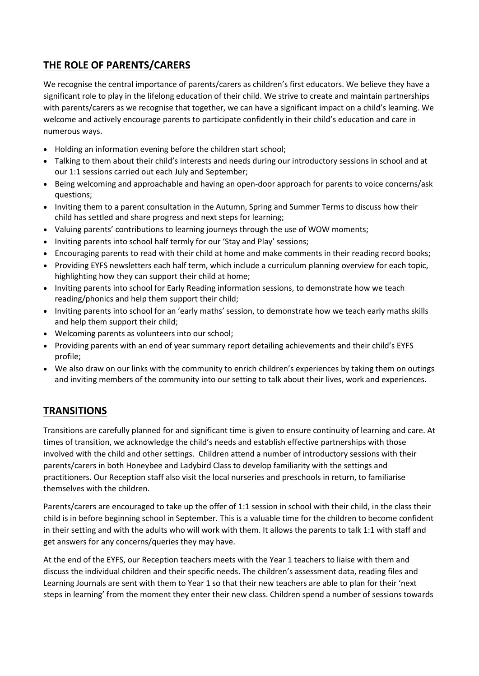# **THE ROLE OF PARENTS/CARERS**

We recognise the central importance of parents/carers as children's first educators. We believe they have a significant role to play in the lifelong education of their child. We strive to create and maintain partnerships with parents/carers as we recognise that together, we can have a significant impact on a child's learning. We welcome and actively encourage parents to participate confidently in their child's education and care in numerous ways.

- Holding an information evening before the children start school;
- Talking to them about their child's interests and needs during our introductory sessions in school and at our 1:1 sessions carried out each July and September;
- Being welcoming and approachable and having an open-door approach for parents to voice concerns/ask questions;
- Inviting them to a parent consultation in the Autumn, Spring and Summer Terms to discuss how their child has settled and share progress and next steps for learning;
- Valuing parents' contributions to learning journeys through the use of WOW moments;
- Inviting parents into school half termly for our 'Stay and Play' sessions;
- Encouraging parents to read with their child at home and make comments in their reading record books;
- Providing EYFS newsletters each half term, which include a curriculum planning overview for each topic, highlighting how they can support their child at home;
- Inviting parents into school for Early Reading information sessions, to demonstrate how we teach reading/phonics and help them support their child;
- Inviting parents into school for an 'early maths' session, to demonstrate how we teach early maths skills and help them support their child;
- Welcoming parents as volunteers into our school;
- Providing parents with an end of year summary report detailing achievements and their child's EYFS profile;
- We also draw on our links with the community to enrich children's experiences by taking them on outings and inviting members of the community into our setting to talk about their lives, work and experiences.

### **TRANSITIONS**

Transitions are carefully planned for and significant time is given to ensure continuity of learning and care. At times of transition, we acknowledge the child's needs and establish effective partnerships with those involved with the child and other settings. Children attend a number of introductory sessions with their parents/carers in both Honeybee and Ladybird Class to develop familiarity with the settings and practitioners. Our Reception staff also visit the local nurseries and preschools in return, to familiarise themselves with the children.

Parents/carers are encouraged to take up the offer of 1:1 session in school with their child, in the class their child is in before beginning school in September. This is a valuable time for the children to become confident in their setting and with the adults who will work with them. It allows the parents to talk 1:1 with staff and get answers for any concerns/queries they may have.

At the end of the EYFS, our Reception teachers meets with the Year 1 teachers to liaise with them and discuss the individual children and their specific needs. The children's assessment data, reading files and Learning Journals are sent with them to Year 1 so that their new teachers are able to plan for their 'next steps in learning' from the moment they enter their new class. Children spend a number of sessions towards